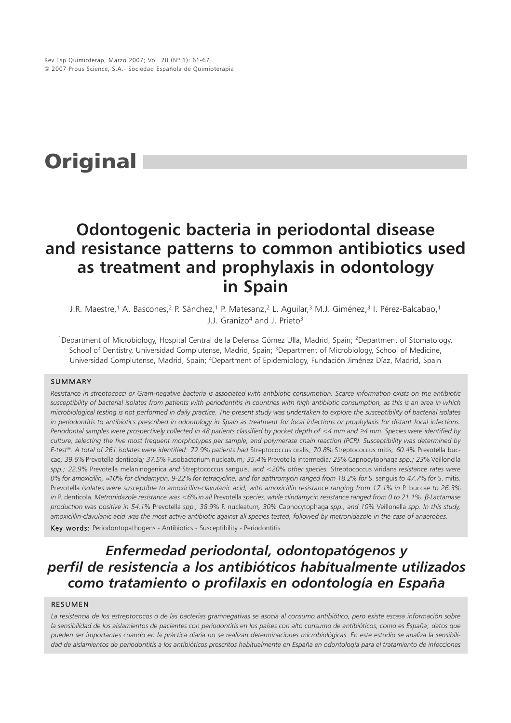# **Original**

## **Odontogenic bacteria in periodontal disease and resistance patterns to common antibiotics used as treatment and prophylaxis in odontology in Spain**

J.R. Maestre,<sup>1</sup> A. Bascones,<sup>2</sup> P. Sánchez,<sup>1</sup> P. Matesanz,<sup>2</sup> L. Aguilar,<sup>3</sup> M.J. Giménez,<sup>3</sup> I. Pérez-Balcabao,<sup>1</sup> J.J. Granizo<sup>4</sup> and J. Prieto<sup>3</sup>

1Department of Microbiology, Hospital Central de la Defensa Gómez Ulla, Madrid, Spain; 2Department of Stomatology, School of Dentistry, Universidad Complutense, Madrid, Spain; <sup>3</sup>Department of Microbiology, School of Medicine, Universidad Complutense, Madrid, Spain; 4Department of Epidemiology, Fundación Jiménez Díaz, Madrid, Spain

#### SUMMARY

*Resistance in streptococci or Gram-negative bacteria is associated with antibiotic consumption. Scarce information exists on the antibiotic susceptibility of bacterial isolates from patients with periodontitis in countries with high antibiotic consumption, as this is an area in which microbiological testing is not performed in daily practice. The present study was undertaken to explore the susceptibility of bacterial isolates in periodontitis to antibiotics prescribed in odontology in Spain as treatment for local infections or prophylaxis for distant focal infections. Periodontal samples were prospectively collected in 48 patients classified by pocket depth of <4 mm and ≥4 mm. Species were identified by culture, selecting the five most frequent morphotypes per sample, and polymerase chain reaction (PCR). Susceptibility was determined by E-test®. A total of 261 isolates were identified: 72.9% patients had* Streptococcus oralis*; 70.8%* Streptococcus mitis*; 60.4%* Prevotella buccae*; 39.6%* Prevotella denticola*; 37.5%* Fusobacterium nucleatum*; 35.4%* Prevotella intermedia*; 25%* Capnocytophaga *spp.; 23%* Veillonella *spp.; 22.9%* Prevotella melaninogenica *and* Streptococcus sanguis*; and <20% other species.* Streptococcus viridans *resistance rates were 0% for amoxicillin,* ≈*10% for clindamycin, 9-22% for tetracycline, and for azithromycin ranged from 18.2% for* S. sanguis *to 47.7% for* S. mitis. Prevotella *isolates were susceptible to amoxicillin-clavulanic acid, with amoxicillin resistance ranging from 17.1% in P. buccae to 26.3% in* P. denticola*. Metronidazole resistance was <6% in all* Prevotella *species, while clindamycin resistance ranged from 0 to 21.1%.* β*-Lactamase production was positive in 54.1%* Prevotella *spp., 38.9%* F. nucleatum*, 30%* Capnocytophaga *spp., and 10%* Veillonella *spp. In this study, amoxicillin-clavulanic acid was the most active antibiotic against all species tested, followed by metronidazole in the case of anaerobes.* Key words: Periodontopathogens - Antibiotics - Susceptibility - Periodontitis

### *Enfermedad periodontal, odontopatógenos y perfil de resistencia a los antibióticos habitualmente utilizados como tratamiento o profilaxis en odontología en España*

#### RESUMEN

*La resistencia de los estreptococos o de las bacterias gramnegativas se asocia al consumo antibiótico, pero existe escasa información sobre la sensibilidad de los aislamientos de pacientes con periodontitis en los países con alto consumo de antibióticos, como es España; datos que pueden ser importantes cuando en la práctica diaria no se realizan determinaciones microbiológicas. En este estudio se analiza la sensibilidad de aislamientos de periodontitis a los antibióticos prescritos habitualmente en España en odontología para el tratamiento de infecciones*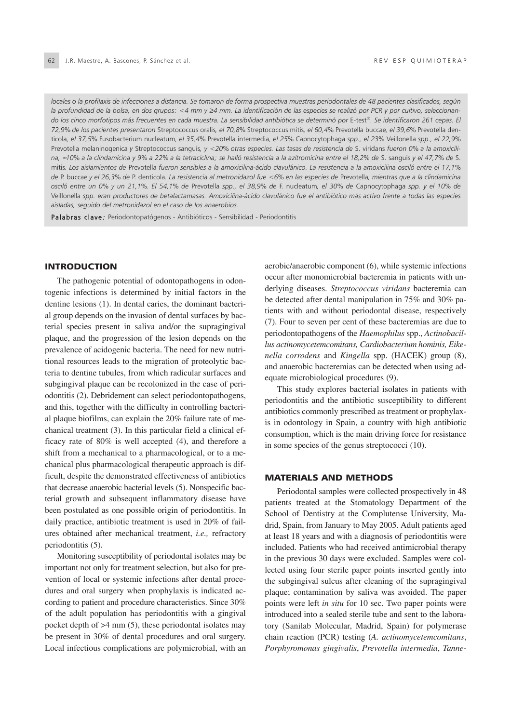*locales o la profilaxis de infecciones a distancia. Se tomaron de forma prospectiva muestras periodontales de 48 pacientes clasificados, según* la profundidad de la bolsa, en dos grupos: <4 mm y ≥4 mm. La identificación de las especies se realizó por PCR y por cultivo, seleccionan*do los cinco morfotipos más frecuentes en cada muestra. La sensibilidad antibiótica se determinó por* E-test®*. Se identificaron 261 cepas. El 72,9% de los pacientes presentaron* Streptococcus oralis*, el 70,8%* Streptococcus mitis*, el 60,4%* Prevotella buccae*, el 39,6%* Prevotella denticola*, el 37,5%* Fusobacterium nucleatum*, el 35,4%* Prevotella intermedia*, el 25%* Capnocytophaga *spp., el 23%* Veillonella *spp., el 22,9%* Prevotella melaninogenica *y* Streptococcus sanguis*, y <20% otras especies. Las tasas de resistencia de* S. viridans *fueron 0% a la amoxicilina,* ≈*10% a la clindamicina y 9% a 22% a la tetraciclina; se halló resistencia a la azitromicina entre el 18,2% de* S. sanguis *y el 47,7% de* S. mitis*. Los aislamientos de* Prevotella *fueron sensibles a la amoxicilina-ácido clavulánico. La resistencia a la amoxicilina osciló entre el 17,1% de* P. buccae *y el 26,3% de* P. denticola*. La resistencia al metronidazol fue <6% en las especies de* Prevotella*, mientras que a la clindamicina osciló entre un 0% y un 21,1%. El 54,1% de* Prevotella *spp., el 38,9% de* F. nucleatum*, el 30% de* Capnocytophaga *spp. y el 10% de* Veillonella *spp. eran productores de betalactamasas. Amoxicilina-ácido clavulánico fue el antibiótico más activo frente a todas las especies aisladas, seguido del metronidazol en el caso de los anaerobios.*

Palabras clave: Periodontopatógenos - Antibióticos - Sensibilidad - Periodontitis

#### **INTRODUCTION**

The pathogenic potential of odontopathogens in odontogenic infections is determined by initial factors in the dentine lesions (1). In dental caries, the dominant bacterial group depends on the invasion of dental surfaces by bacterial species present in saliva and/or the supragingival plaque, and the progression of the lesion depends on the prevalence of acidogenic bacteria. The need for new nutritional resources leads to the migration of proteolytic bacteria to dentine tubules, from which radicular surfaces and subgingival plaque can be recolonized in the case of periodontitis (2). Debridement can select periodontopathogens, and this, together with the difficulty in controlling bacterial plaque biofilms, can explain the 20% failure rate of mechanical treatment (3). In this particular field a clinical efficacy rate of 80% is well accepted (4), and therefore a shift from a mechanical to a pharmacological, or to a mechanical plus pharmacological therapeutic approach is difficult, despite the demonstrated effectiveness of antibiotics that decrease anaerobic bacterial levels (5). Nonspecific bacterial growth and subsequent inflammatory disease have been postulated as one possible origin of periodontitis. In daily practice, antibiotic treatment is used in 20% of failures obtained after mechanical treatment, *i.e.,* refractory periodontitis (5).

Monitoring susceptibility of periodontal isolates may be important not only for treatment selection, but also for prevention of local or systemic infections after dental procedures and oral surgery when prophylaxis is indicated according to patient and procedure characteristics. Since 30% of the adult population has periodontitis with a gingival pocket depth of  $>4$  mm (5), these periodontal isolates may be present in 30% of dental procedures and oral surgery. Local infectious complications are polymicrobial, with an aerobic/anaerobic component (6), while systemic infections occur after monomicrobial bacteremia in patients with underlying diseases. *Streptococcus viridans* bacteremia can be detected after dental manipulation in 75% and 30% patients with and without periodontal disease, respectively (7). Four to seven per cent of these bacteremias are due to periodontopathogens of the *Haemophilus* spp., *Actinobacillus actinomycetemcomitans, Cardiobacterium hominis, Eikenella corrodens* and *Kingella* spp. (HACEK) group (8), and anaerobic bacteremias can be detected when using adequate microbiological procedures (9).

This study explores bacterial isolates in patients with periodontitis and the antibiotic susceptibility to different antibiotics commonly prescribed as treatment or prophylaxis in odontology in Spain, a country with high antibiotic consumption, which is the main driving force for resistance in some species of the genus streptococci (10).

#### MATERIALS AND METHODS

Periodontal samples were collected prospectively in 48 patients treated at the Stomatology Department of the School of Dentistry at the Complutense University, Madrid, Spain, from January to May 2005. Adult patients aged at least 18 years and with a diagnosis of periodontitis were included. Patients who had received antimicrobial therapy in the previous 30 days were excluded. Samples were collected using four sterile paper points inserted gently into the subgingival sulcus after cleaning of the supragingival plaque; contamination by saliva was avoided. The paper points were left *in situ* for 10 sec. Two paper points were introduced into a sealed sterile tube and sent to the laboratory (Sanilab Molecular, Madrid, Spain) for polymerase chain reaction (PCR) testing (*A. actinomycetemcomitans*, *Porphyromonas gingivalis*, *Prevotella intermedia*, *Tanne-*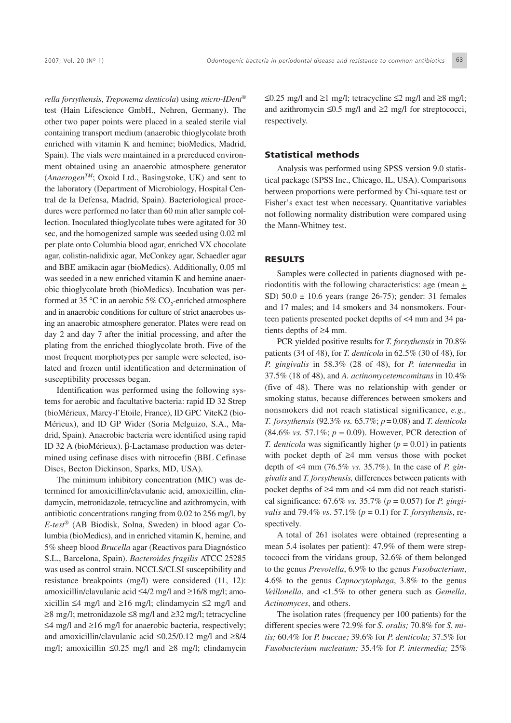*rella forsythensis*, *Treponema denticola*) using *micro-IDent®* test (Hain Lifescience GmbH., Nehren, Germany). The other two paper points were placed in a sealed sterile vial containing transport medium (anaerobic thioglycolate broth enriched with vitamin K and hemine; bioMedics, Madrid, Spain). The vials were maintained in a prereduced environment obtained using an anaerobic atmosphere generator (*AnaerogenTM*; Oxoid Ltd., Basingstoke, UK) and sent to the laboratory (Department of Microbiology, Hospital Central de la Defensa, Madrid, Spain). Bacteriological procedures were performed no later than 60 min after sample collection. Inoculated thioglycolate tubes were agitated for 30 sec, and the homogenized sample was seeded using 0.02 ml per plate onto Columbia blood agar, enriched VX chocolate agar, colistin-nalidixic agar, McConkey agar, Schaedler agar and BBE amikacin agar (bioMedics). Additionally, 0.05 ml was seeded in a new enriched vitamin K and hemine anaerobic thioglycolate broth (bioMedics). Incubation was performed at 35 °C in an aerobic 5%  $\text{CO}_2$ -enriched atmosphere and in anaerobic conditions for culture of strict anaerobes using an anaerobic atmosphere generator. Plates were read on day 2 and day 7 after the initial processing, and after the plating from the enriched thioglycolate broth. Five of the most frequent morphotypes per sample were selected, isolated and frozen until identification and determination of susceptibility processes began.

Identification was performed using the following systems for aerobic and facultative bacteria: rapid ID 32 Strep (bioMérieux, Marcy-l'Etoile, France), ID GPC ViteK2 (bio-Mérieux), and ID GP Wider (Soria Melguizo, S.A., Madrid, Spain). Anaerobic bacteria were identified using rapid ID 32 A (bioMérieux). β-Lactamase production was determined using cefinase discs with nitrocefin (BBL Cefinase Discs, Becton Dickinson, Sparks, MD, USA).

The minimum inhibitory concentration (MIC) was determined for amoxicillin/clavulanic acid, amoxicillin, clindamycin, metronidazole, tetracycline and azithromycin, with antibiotic concentrations ranging from 0.02 to 256 mg/l, by *E-test®* (AB Biodisk, Solna, Sweden) in blood agar Columbia (bioMedics), and in enriched vitamin K, hemine, and 5% sheep blood *Brucella* agar (Reactivos para Diagnóstico S.L., Barcelona, Spain). *Bacteroides fragilis* ATCC 25285 was used as control strain. NCCLS/CLSI susceptibility and resistance breakpoints (mg/l) were considered (11, 12): amoxicillin/clavulanic acid ≤4/2 mg/l and ≥16/8 mg/l; amoxicillin ≤4 mg/l and ≥16 mg/l; clindamycin ≤2 mg/l and ≥8 mg/l; metronidazole ≤8 mg/l and ≥32 mg/l; tetracycline ≤4 mg/l and ≥16 mg/l for anaerobic bacteria, respectively; and amoxicillin/clavulanic acid ≤0.25/0.12 mg/l and ≥8/4 mg/l; amoxicillin ≤0.25 mg/l and ≥8 mg/l; clindamycin ≤0.25 mg/l and ≥1 mg/l; tetracycline ≤2 mg/l and ≥8 mg/l; and azithromycin  $\leq 0.5$  mg/l and  $\geq 2$  mg/l for streptococci, respectively.

#### Statistical methods

Analysis was performed using SPSS version 9.0 statistical package (SPSS Inc., Chicago, IL, USA). Comparisons between proportions were performed by Chi-square test or Fisher's exact test when necessary. Quantitative variables not following normality distribution were compared using the Mann-Whitney test.

#### RESULTS

Samples were collected in patients diagnosed with periodontitis with the following characteristics: age (mean  $\pm$ SD)  $50.0 \pm 10.6$  years (range 26-75); gender: 31 females and 17 males; and 14 smokers and 34 nonsmokers. Fourteen patients presented pocket depths of <4 mm and 34 patients depths of ≥4 mm.

PCR yielded positive results for *T. forsythensis* in 70.8% patients (34 of 48), for *T. denticola* in 62.5% (30 of 48), for *P. gingivalis* in 58.3% (28 of 48), for *P. intermedia* in 37.5% (18 of 48), and *A. actinomycetemcomitans* in 10.4% (five of 48). There was no relationship with gender or smoking status, because differences between smokers and nonsmokers did not reach statistical significance, *e.g., T. forsythensis* (92.3% *vs.* 65.7%; *p* = 0.08) and *T. denticola* (84.6% *vs.* 57.1%; *p* = 0.09). However, PCR detection of *T. denticola* was significantly higher ( $p = 0.01$ ) in patients with pocket depth of ≥4 mm versus those with pocket depth of <4 mm (76.5% *vs.* 35.7%). In the case of *P. gingivalis* and *T. forsythensis,* differences between patients with pocket depths of ≥4 mm and <4 mm did not reach statistical significance: 67.6% *vs.* 35.7% (*p* = 0.057) for *P. gingivalis* and 79.4% *vs.* 57.1% (*p* = 0.1) for *T. forsythensis*, respectively.

A total of 261 isolates were obtained (representing a mean 5.4 isolates per patient): 47.9% of them were streptococci from the viridans group, 32.6% of them belonged to the genus *Prevotella*, 6.9% to the genus *Fusobacterium*, 4.6% to the genus *Capnocytophaga*, 3.8% to the genus *Veillonella*, and <1.5% to other genera such as *Gemella*, *Actinomyces*, and others.

The isolation rates (frequency per 100 patients) for the different species were 72.9% for *S. oralis;* 70.8% for *S. mitis;* 60.4% for *P. buccae;* 39.6% for *P. denticola;* 37.5% for *Fusobacterium nucleatum;* 35.4% for *P. intermedia;* 25%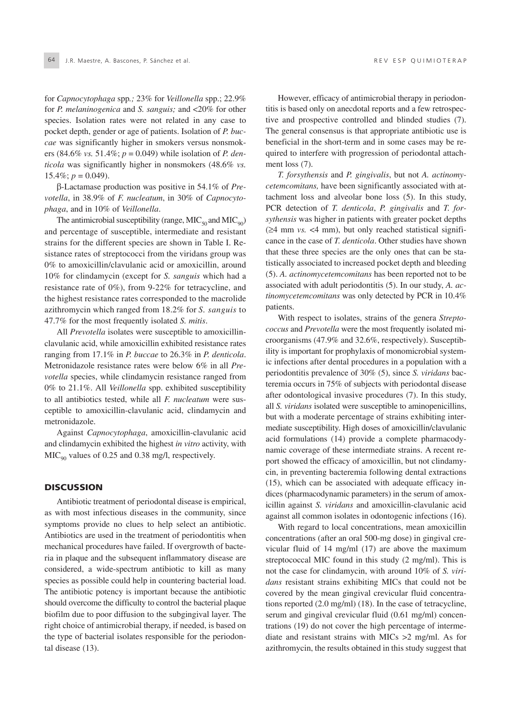for *Capnocytophaga* spp*.;* 23% for *Veillonella* spp.; 22.9% for *P. melaninogenica* and *S. sanguis;* and <20% for other species. Isolation rates were not related in any case to pocket depth, gender or age of patients. Isolation of *P. buccae* was significantly higher in smokers versus nonsmokers (84.6% *vs.* 51.4%; *p* = 0.049) while isolation of *P. denticola* was significantly higher in nonsmokers (48.6% *vs.*  $15.4\%$ ;  $p = 0.049$ ).

β-Lactamase production was positive in 54.1% of *Prevotella*, in 38.9% of *F. nucleatum*, in 30% of *Capnocytophaga*, and in 10% of *Veillonella*.

The antimicrobial susceptibility (range,  $MIC<sub>50</sub>$  and  $MIC<sub>90</sub>$ ) and percentage of susceptible, intermediate and resistant strains for the different species are shown in Table I. Resistance rates of streptococci from the viridans group was 0% to amoxicillin/clavulanic acid or amoxicillin, around 10% for clindamycin (except for *S. sanguis* which had a resistance rate of 0%), from 9-22% for tetracycline, and the highest resistance rates corresponded to the macrolide azithromycin which ranged from 18.2% for *S. sanguis* to 47.7% for the most frequently isolated *S. mitis*.

All *Prevotella* isolates were susceptible to amoxicillinclavulanic acid, while amoxicillin exhibited resistance rates ranging from 17.1% in *P. buccae* to 26.3% in *P. denticola*. Metronidazole resistance rates were below 6% in all *Prevotella* species, while clindamycin resistance ranged from 0% to 21.1%. All *Veillonella* spp. exhibited susceptibility to all antibiotics tested, while all *F. nucleatum* were susceptible to amoxicillin-clavulanic acid, clindamycin and metronidazole.

Against *Capnocytophaga*, amoxicillin-clavulanic acid and clindamycin exhibited the highest *in vitro* activity, with  $MIC<sub>90</sub>$  values of 0.25 and 0.38 mg/l, respectively.

#### **DISCUSSION**

Antibiotic treatment of periodontal disease is empirical, as with most infectious diseases in the community, since symptoms provide no clues to help select an antibiotic. Antibiotics are used in the treatment of periodontitis when mechanical procedures have failed. If overgrowth of bacteria in plaque and the subsequent inflammatory disease are considered, a wide-spectrum antibiotic to kill as many species as possible could help in countering bacterial load. The antibiotic potency is important because the antibiotic should overcome the difficulty to control the bacterial plaque biofilm due to poor diffusion to the subgingival layer. The right choice of antimicrobial therapy, if needed, is based on the type of bacterial isolates responsible for the periodontal disease (13).

However, efficacy of antimicrobial therapy in periodontitis is based only on anecdotal reports and a few retrospective and prospective controlled and blinded studies (7). The general consensus is that appropriate antibiotic use is beneficial in the short-term and in some cases may be required to interfere with progression of periodontal attachment loss (7).

*T. forsythensis* and *P. gingivalis*, but not *A. actinomycetemcomitans,* have been significantly associated with attachment loss and alveolar bone loss (5). In this study, PCR detection of *T. denticola*, *P. gingivalis* and *T. forsythensis* was higher in patients with greater pocket depths (≥4 mm *vs.* <4 mm), but only reached statistical significance in the case of *T. denticola*. Other studies have shown that these three species are the only ones that can be statistically associated to increased pocket depth and bleeding (5). *A. actinomycetemcomitans* has been reported not to be associated with adult periodontitis (5). In our study, *A. actinomycetemcomitans* was only detected by PCR in 10.4% patients.

With respect to isolates, strains of the genera *Streptococcus* and *Prevotella* were the most frequently isolated microorganisms (47.9% and 32.6%, respectively). Susceptibility is important for prophylaxis of monomicrobial systemic infections after dental procedures in a population with a periodontitis prevalence of 30% (5), since *S. viridans* bacteremia occurs in 75% of subjects with periodontal disease after odontological invasive procedures (7). In this study, all *S. viridans* isolated were susceptible to aminopenicillins, but with a moderate percentage of strains exhibiting intermediate susceptibility. High doses of amoxicillin/clavulanic acid formulations (14) provide a complete pharmacodynamic coverage of these intermediate strains. A recent report showed the efficacy of amoxicillin, but not clindamycin, in preventing bacteremia following dental extractions (15), which can be associated with adequate efficacy indices (pharmacodynamic parameters) in the serum of amoxicillin against *S. viridans* and amoxicillin-clavulanic acid against all common isolates in odontogenic infections (16).

With regard to local concentrations, mean amoxicillin concentrations (after an oral 500-mg dose) in gingival crevicular fluid of 14 mg/ml (17) are above the maximum streptococcal MIC found in this study (2 mg/ml). This is not the case for clindamycin, with around 10% of *S. viridans* resistant strains exhibiting MICs that could not be covered by the mean gingival crevicular fluid concentrations reported (2.0 mg/ml) (18). In the case of tetracycline, serum and gingival crevicular fluid (0.61 mg/ml) concentrations (19) do not cover the high percentage of intermediate and resistant strains with MICs >2 mg/ml. As for azithromycin, the results obtained in this study suggest that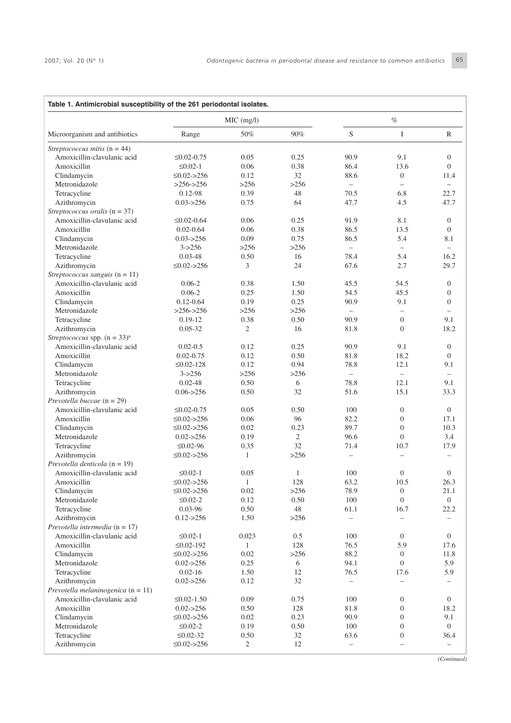|                                                               | MIC (mg/l)         |              |            | $\%$                     |                          |                          |
|---------------------------------------------------------------|--------------------|--------------|------------|--------------------------|--------------------------|--------------------------|
| Microorganism and antibiotics                                 | Range              | 50%          | 90%        | S                        | $\mathbf I$              | R                        |
| Streptococcus mitis $(n = 44)$                                |                    |              |            |                          |                          |                          |
| Amoxicillin-clavulanic acid                                   | $\leq 0.02 - 0.75$ | 0.05         | 0.25       | 90.9                     | 9.1                      | $\mathbf{0}$             |
| Amoxicillin                                                   | $\leq 0.02 - 1$    | 0.06         | 0.38       | 86.4                     | 13.6                     | $\Omega$                 |
| Clindamycin                                                   | $\leq 0.02 - 256$  | 0.12         | 32         | 88.6                     | $\mathbf{0}$             | 11.4                     |
| Metronidazole                                                 | $>256-256$         | >256         | >256       | $\overline{\phantom{0}}$ | $\overline{\phantom{0}}$ | $\equiv$                 |
| Tetracycline                                                  | $0.12 - 98$        | 0.39         | 48         | 70.5                     | 6.8                      | 22.7                     |
| Azithromycin                                                  | $0.03 - > 256$     | 0.75         | 64         | 47.7                     | 4.5                      | 47.7                     |
| Streptococcus oralis $(n = 37)$                               |                    |              |            |                          |                          |                          |
| Amoxicillin-clavulanic acid                                   | $\leq 0.02 - 0.64$ | 0.06         | 0.25       | 91.9                     | 8.1                      | $\mathbf{0}$             |
| Amoxicillin                                                   | $0.02 - 0.64$      | 0.06         | 0.38       | 86.5                     | 13.5                     | $\mathbf{0}$             |
| Clindamycin                                                   | $0.03 - 256$       | 0.09         | 0.75       | 86.5                     | 5.4                      | 8.1                      |
| Metronidazole                                                 | $3 - > 256$        | >256         | >256       | $\equiv$                 | $\overline{\phantom{m}}$ |                          |
| Tetracycline                                                  | $0.03 - 48$        | 0.50         | 16         | 78.4                     | 5.4                      | 16.2                     |
| Azithromycin                                                  | $\leq 0.02 > 256$  | 3            | 24         | 67.6                     | 2.7                      | 29.7                     |
| Streptococcus sanguis $(n = 11)$                              |                    |              |            |                          |                          |                          |
| Amoxicillin-clavulanic acid                                   | $0.06 - 2$         | 0.38         | 1.50       | 45.5                     | 54.5                     | $\mathbf{0}$             |
| Amoxicillin                                                   | $0.06 - 2$         | 0.25         | 1.50       | 54.5                     | 45.5                     | $\mathbf{0}$             |
| Clindamycin                                                   | $0.12 - 0.64$      | 0.19         | 0.25       | 90.9                     | 9.1                      | $\mathbf{0}$             |
| Metronidazole                                                 | $>256 \ge 256$     | >256         | >256       | $\qquad \qquad -$        | $\overline{\phantom{m}}$ | $\overline{\phantom{0}}$ |
| Tetracycline                                                  | $0.19-12$          | 0.38         | 0.50       | 90.9                     | $\mathbf{0}$             | 9.1                      |
| Azithromycin                                                  | $0.05 - 32$        | 2            | 16         | 81.8                     | $\mathbf{0}$             | 18.2                     |
| Streptococcus spp. $(n = 33)^a$                               |                    |              |            |                          |                          |                          |
| Amoxicillin-clavulanic acid                                   | $0.02 - 0.5$       | 0.12         | 0.25       | 90.9                     | 9.1                      | $\mathbf{0}$             |
| Amoxicillin                                                   | $0.02 - 0.75$      | 0.12         | 0.50       | 81.8                     | 18.2                     | $\mathbf{0}$             |
| Clindamycin                                                   | $\leq 0.02 - 128$  | 0.12         | 0.94       | 78.8                     | 12.1                     | 9.1                      |
| Metronidazole                                                 | $3 - > 256$        | >256         | >256       | $\overline{\phantom{0}}$ | $\overline{\phantom{0}}$ | $\overline{\phantom{0}}$ |
|                                                               | $0.02 - 48$        | 0.50         | 6          | 78.8                     | 12.1                     | 9.1                      |
| Tetracycline<br>Azithromycin                                  | $0.06 - > 256$     | 0.50         | 32         | 51.6                     | 15.1                     | 33.3                     |
|                                                               |                    |              |            |                          |                          |                          |
| Prevotella buccae ( $n = 29$ )<br>Amoxicillin-clavulanic acid |                    | 0.05         |            | 100                      | $\mathbf{0}$             | $\mathbf{0}$             |
| Amoxicillin                                                   | $\leq 0.02 - 0.75$ | 0.06         | 0.50<br>96 | 82.2                     | $\mathbf{0}$             | 17.1                     |
|                                                               | $\leq 0.02 - 256$  |              |            |                          |                          |                          |
| Clindamycin                                                   | $\leq 0.02 > 256$  | 0.02         | 0.23       | 89.7                     | $\mathbf{0}$             | 10.3                     |
| Metronidazole                                                 | $0.02 - > 256$     | 0.19         | 2          | 96.6                     | $\mathbf{0}$             | 3.4                      |
| Tetracycline                                                  | $\leq 0.02 - 96$   | 0.35         | 32         | 71.4                     | 10.7                     | 17.9                     |
| Azithromycin                                                  | $\leq 0.02 > 256$  | $\mathbf{1}$ | >256       | $\overline{\phantom{0}}$ | $\overline{\phantom{0}}$ |                          |
| Prevotella denticola $(n = 19)$                               |                    |              |            |                          |                          |                          |
| Amoxicillin-clavulanic acid                                   | $\leq 0.02 - 1$    | 0.05         | 1          | 100                      | $\mathbf{0}$             | $\boldsymbol{0}$         |
| Amoxicillin                                                   | $\leq 0.02 - 256$  | $\mathbf{1}$ | 128        | 63.2                     | 10.5                     | 26.3                     |
| Clindamycin                                                   | $\leq 0.02 > 256$  | 0.02         | >256       | 78.9                     | $\boldsymbol{0}$         | 21.1                     |
| Metronidazole                                                 | $\leq 0.02 - 2$    | 0.12         | 0.50       | 100                      | $\mathbf{0}$             | $\boldsymbol{0}$         |
| Tetracycline                                                  | 0.03-96            | 0.50         | 48         | 61.1                     | 16.7                     | 22.2                     |
| Azithromycin                                                  | $0.12 - > 256$     | 1.50         | >256       |                          |                          |                          |
| Prevotella intermedia ( $n = 17$ )                            |                    |              |            |                          |                          |                          |
| Amoxicillin-clavulanic acid                                   | $\leq 0.02 - 1$    | 0.023        | 0.5        | 100                      | $\boldsymbol{0}$         | $\boldsymbol{0}$         |
| Amoxicillin                                                   | $\leq 0.02 - 192$  | $\mathbf{1}$ | 128        | 76.5                     | 5.9                      | 17.6                     |
| Clindamycin                                                   | $\leq 0.02 - 256$  | 0.02         | >256       | 88.2                     | $\boldsymbol{0}$         | 11.8                     |
| Metronidazole                                                 | $0.02 - > 256$     | 0.25         | 6          | 94.1                     | $\mathbf{0}$             | 5.9                      |
| Tetracycline                                                  | $0.02 - 16$        | 1.50         | 12         | 76.5                     | 17.6                     | 5.9                      |
| Azithromycin                                                  | $0.02 - > 256$     | 0.12         | 32         | $\overline{\phantom{0}}$ |                          |                          |
| Prevotella melaninogenica ( $n = 11$ )                        |                    |              |            |                          |                          |                          |
| Amoxicillin-clavulanic acid                                   | $\leq 0.02 - 1.50$ | 0.09         | 0.75       | 100                      | $\boldsymbol{0}$         | $\boldsymbol{0}$         |
| Amoxicillin                                                   | $0.02 - > 256$     | 0.50         | 128        | 81.8                     | $\boldsymbol{0}$         | 18.2                     |
| Clindamycin                                                   | $\leq 0.02 - 256$  | 0.02         | 0.23       | 90.9                     | $\boldsymbol{0}$         | 9.1                      |
| Metronidazole                                                 | $\leq 0.02 - 2$    | 0.19         | 0.50       | 100                      | $\boldsymbol{0}$         | $\overline{0}$           |
| Tetracycline                                                  | $\leq 0.02 - 32$   | 0.50         | 32         | 63.6                     | $\boldsymbol{0}$         | 36.4                     |
| Azithromycin                                                  | $\leq 0.02 - 256$  | 2            | 12         | $\qquad \qquad -$        |                          | $\qquad \qquad -$        |

*(Continued)*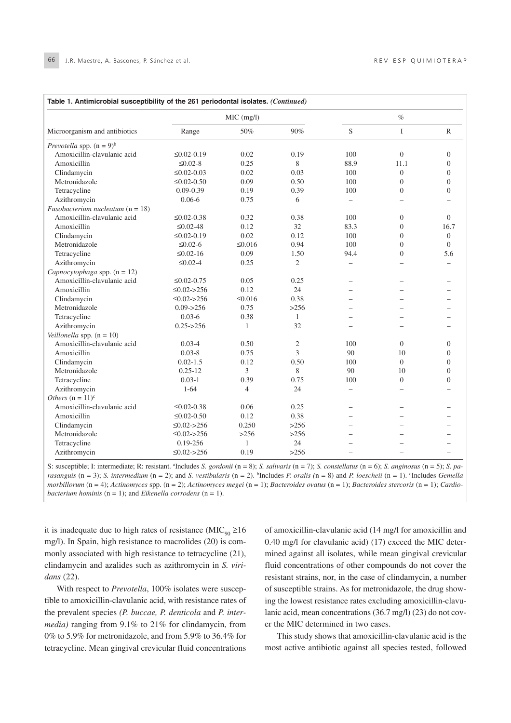| Microorganism and antibiotics      | MIC (mg/l)         |                |                | $\%$                     |                          |                  |
|------------------------------------|--------------------|----------------|----------------|--------------------------|--------------------------|------------------|
|                                    | Range              | 50%            | 90%            | S                        | $\bf I$                  | $\mathbb{R}$     |
| Prevotella spp. $(n = 9)^b$        |                    |                |                |                          |                          |                  |
| Amoxicillin-clavulanic acid        | $\leq 0.02 - 0.19$ | 0.02           | 0.19           | 100                      | $\mathbf{0}$             | $\overline{0}$   |
| Amoxicillin                        | $\leq 0.02 - 8$    | 0.25           | 8              | 88.9                     | 11.1                     | $\theta$         |
| Clindamycin                        | $\leq 0.02 - 0.03$ | 0.02           | 0.03           | 100                      | $\Omega$                 | $\theta$         |
| Metronidazole                      | $\leq 0.02 - 0.50$ | 0.09           | 0.50           | 100                      | $\Omega$                 | $\Omega$         |
| Tetracycline                       | $0.09 - 0.39$      | 0.19           | 0.39           | 100                      | $\Omega$                 | $\Omega$         |
| Azithromycin                       | $0.06 - 6$         | 0.75           | 6              | $\overline{\phantom{0}}$ |                          |                  |
| Fusobacterium nucleatum $(n = 18)$ |                    |                |                |                          |                          |                  |
| Amoxicillin-clavulanic acid        | $\leq 0.02 - 0.38$ | 0.32           | 0.38           | 100                      | $\mathbf{0}$             | $\Omega$         |
| Amoxicillin                        | $\leq 0.02 - 48$   | 0.12           | 32             | 83.3                     | $\Omega$                 | 16.7             |
| Clindamycin                        | $\leq 0.02 - 0.19$ | 0.02           | 0.12           | 100                      | $\mathbf{0}$             | $\boldsymbol{0}$ |
| Metronidazole                      | $\leq 0.02 - 6$    | $\leq 0.016$   | 0.94           | 100                      | $\overline{0}$           | $\Omega$         |
| Tetracycline                       | $\leq 0.02 - 16$   | 0.09           | 1.50           | 94.4                     | $\Omega$                 | 5.6              |
| Azithromycin                       | $\leq 0.02 - 4$    | 0.25           | $\overline{2}$ | $\overline{\phantom{0}}$ | $\overline{\phantom{0}}$ |                  |
| Capnocytophaga spp. $(n = 12)$     |                    |                |                |                          |                          |                  |
| Amoxicillin-clavulanic acid        | $\leq 0.02 - 0.75$ | 0.05           | 0.25           | $\overline{\phantom{0}}$ |                          |                  |
| Amoxicillin                        | $\leq 0.02 - 256$  | 0.12           | 24             |                          |                          |                  |
| Clindamycin                        | $\leq 0.02 - 256$  | ≤0.016         | 0.38           |                          |                          |                  |
| Metronidazole                      | $0.09 - > 256$     | 0.75           | >256           |                          |                          |                  |
| Tetracycline                       | $0.03 - 6$         | 0.38           | $\mathbf{1}$   | -                        | $\equiv$                 |                  |
| Azithromycin                       | $0.25 - > 256$     | 1              | 32             |                          |                          |                  |
| Veillonella spp. $(n = 10)$        |                    |                |                |                          |                          |                  |
| Amoxicillin-clavulanic acid        | $0.03 - 4$         | 0.50           | 2              | 100                      | $\Omega$                 | $\mathbf{0}$     |
| Amoxicillin                        | $0.03 - 8$         | 0.75           | 3              | 90                       | 10                       | $\mathbf{0}$     |
| Clindamycin                        | $0.02 - 1.5$       | 0.12           | 0.50           | 100                      | $\Omega$                 | $\mathbf{0}$     |
| Metronidazole                      | $0.25 - 12$        | 3              | 8              | 90                       | 10                       | $\overline{0}$   |
| Tetracycline                       | $0.03 - 1$         | 0.39           | 0.75           | 100                      | $\theta$                 | $\theta$         |
| Azithromycin                       | $1 - 64$           | $\overline{4}$ | 24             | $\equiv$                 | $\equiv$                 |                  |
| Others $(n = 11)^c$                |                    |                |                |                          |                          |                  |
| Amoxicillin-clavulanic acid        | $\leq 0.02 - 0.38$ | 0.06           | 0.25           | $\overline{\phantom{a}}$ |                          |                  |
| Amoxicillin                        | $\leq 0.02 - 0.50$ | 0.12           | 0.38           |                          |                          |                  |
| Clindamycin                        | $\leq 0.02 - 256$  | 0.250          | >256           |                          |                          |                  |
| Metronidazole                      | $\leq 0.02 > 256$  | >256           | >256           |                          |                          |                  |
| Tetracycline                       | 0.19-256           | $\mathbf{1}$   | 24             |                          |                          |                  |
| Azithromycin                       | $\leq 0.02 - 256$  | 0.19           | >256           | $\overline{\phantom{0}}$ | $\overline{\phantom{0}}$ |                  |

S: susceptible; I: intermediate; R: resistant. a Includes *S. gordonii* (n = 8); *S. salivaris* (n = 7); *S. constellatus* (n = 6); *S. anginosus* (n = 5); *S. parasanguis* (n = 3); *S. intermedium* (n = 2); and *S. vestibularis* (n = 2). <sup>b</sup>Includes *P. oralis* (n = 8) and *P. loescheii* (n = 1). <sup>c</sup>Includes *Gemella morbillorum* (n = 4); *Actinomyces* spp. (n = 2); *Actinomyces megei* (n = 1); *Bacteroides ovatus* (n = 1); *Bacteroides stercoris* (n = 1); *Cardiobacterium hominis* (n = 1); and *Eikenella corrodens* (n = 1).

it is inadequate due to high rates of resistance ( $\text{MIC}_{q0} \ge 16$ mg/l). In Spain, high resistance to macrolides (20) is commonly associated with high resistance to tetracycline (21), clindamycin and azalides such as azithromycin in *S. viridans* (22).

With respect to *Prevotella*, 100% isolates were susceptible to amoxicillin-clavulanic acid, with resistance rates of the prevalent species *(P. buccae, P. denticola* and *P. intermedia)* ranging from 9.1% to 21% for clindamycin, from 0% to 5.9% for metronidazole, and from 5.9% to 36.4% for tetracycline. Mean gingival crevicular fluid concentrations of amoxicillin-clavulanic acid (14 mg/l for amoxicillin and 0.40 mg/l for clavulanic acid) (17) exceed the MIC determined against all isolates, while mean gingival crevicular fluid concentrations of other compounds do not cover the resistant strains, nor, in the case of clindamycin, a number of susceptible strains. As for metronidazole, the drug showing the lowest resistance rates excluding amoxicillin-clavulanic acid, mean concentrations (36.7 mg/l) (23) do not cover the MIC determined in two cases.

This study shows that amoxicillin-clavulanic acid is the most active antibiotic against all species tested, followed